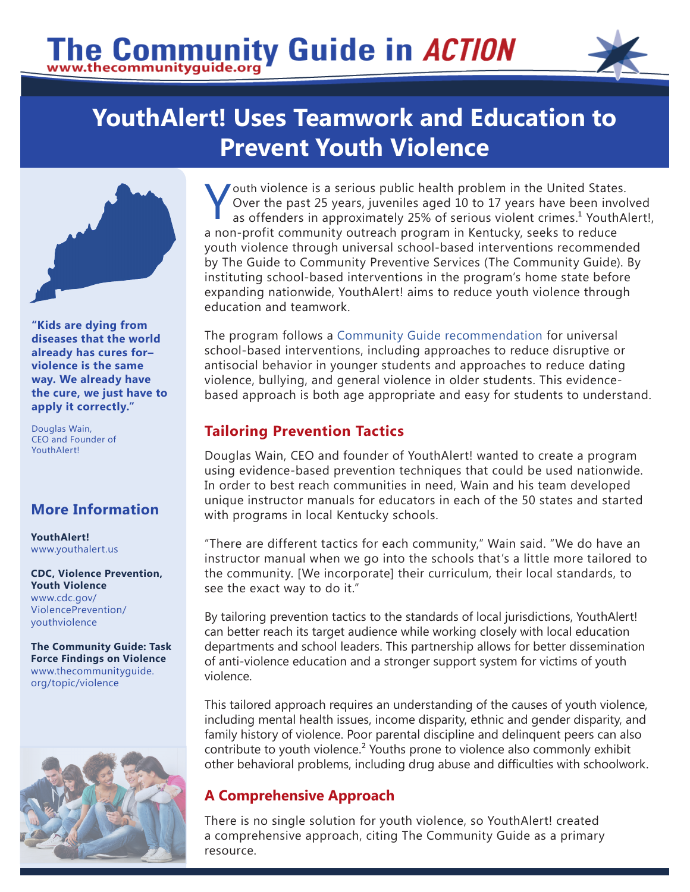# The Community Guide in ACTION



# **YouthAlert! Uses Teamwork and Education to Prevent Youth Violence**



**"Kids are dying from diseases that the world already has cures for– violence is the same way. We already have the cure, we just have to apply it correctly."** 

Douglas Wain, CEO and Founder of YouthAlert!

# **More Information**

**YouthAlert!**  [www.youthalert.us](http://www.youthalert.us/_index.php)

**CDC, Violence Prevention, Youth Violence**  [www.cdc.gov/](https://www.cdc.gov/ViolencePrevention/youthviolence/index.html)  [ViolencePrevention/](https://www.cdc.gov/ViolencePrevention/youthviolence/index.html) [youthv](https://www.cdc.gov/ViolencePrevention/youthviolence/index.html)iolence

**The Community Guide: Task Force Findings on Violence**  [www.thecommunityguide.](https://www.thecommunityguide.org/topic/violence) [org/topic/v](https://www.thecommunityguide.org/topic/violence)iolence



Youth violence is a serious public health problem in the United States.<br>Over the past 25 years, juveniles aged 10 to 17 years have been involtas offenders in approximately 25% of serious violent crimes.<sup>1</sup> YouthAl Over the past 25 years, juveniles aged 10 to 17 years have been involved as offenders in approximately 25% of serious violent crimes.<sup>1</sup> YouthAlert!, a non-profit community outreach program in Kentucky, seeks to reduce youth violence through universal school-based interventions recommended by The Guide to Community Preventive Services (The Community Guide). By instituting school-based interventions in the program's home state before expanding nationwide, YouthAlert! aims to reduce youth violence through education and teamwork.

The program follows a [Community Guide recommendation](https://www.thecommunityguide.org/findings/violence-school-based-programs) for universal school-based interventions, including approaches to reduce disruptive or antisocial behavior in younger students and approaches to reduce dating violence, bullying, and general violence in older students. This evidencebased approach is both age appropriate and easy for students to understand.

### **Tailoring Prevention Tactics**

Douglas Wain, CEO and founder of YouthAlert! wanted to create a program using evidence-based prevention techniques that could be used nationwide. In order to best reach communities in need, Wain and his team developed unique instructor manuals for educators in each of the 50 states and started with programs in local Kentucky schools.

"There are different tactics for each community," Wain said. "We do have an instructor manual when we go into the schools that's a little more tailored to the community. [We incorporate] their curriculum, their local standards, to see the exact way to do it."

By tailoring prevention tactics to the standards of local jurisdictions, YouthAlert! can better reach its target audience while working closely with local education departments and school leaders. This partnership allows for better dissemination of anti-violence education and a stronger support system for victims of youth violence.

This tailored approach requires an understanding of the causes of youth violence, including mental health issues, income disparity, ethnic and gender disparity, and family history of violence. Poor parental discipline and delinquent peers can also contribute to youth violence.² Youths prone to violence also commonly exhibit other behavioral problems, including drug abuse and difficulties with schoolwork.

## **A Comprehensive Approach**

There is no single solution for youth violence, so YouthAlert! created a comprehensive approach, citing The Community Guide as a primary resource.